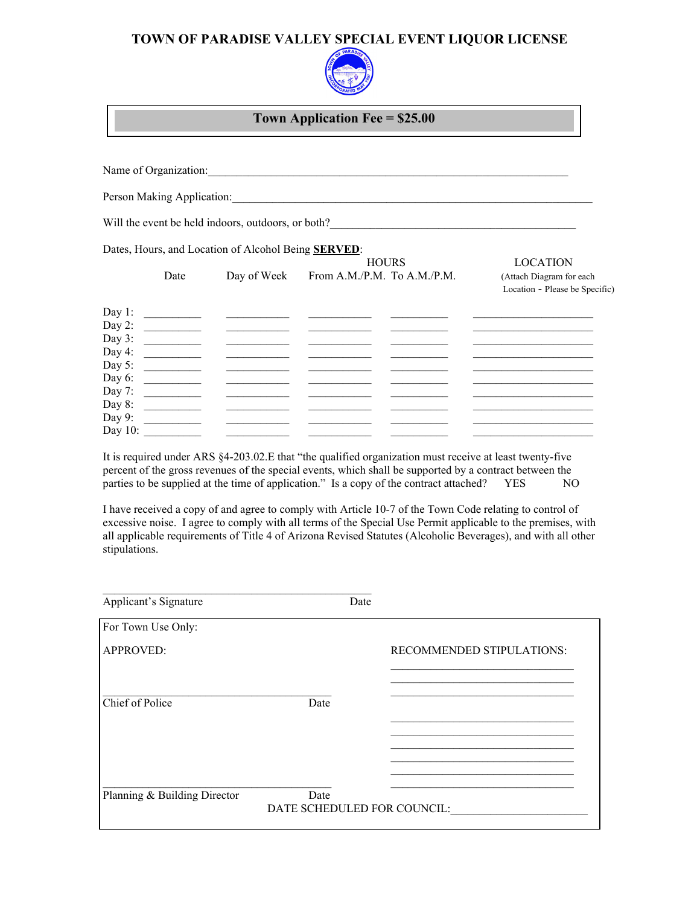## **TOWN OF PARADISE VALLEY SPECIAL EVENT LIQUOR LICENSE**



## **Town Application Fee = \$25.00**

Name of Organization: Person Making Application: Will the event be held indoors, outdoors, or both? Dates, Hours, and Location of Alcohol Being **SERVED**: HOURS LOCATION Date Day of Week From A.M./P.M. To A.M./P.M. (Attach Diagram for each Location - Please be Specific)  $\Box$ ay 1:  $\Box$ ay 2: Day 3: \_\_\_\_\_\_\_\_\_\_ \_\_\_\_\_\_\_\_\_\_\_ \_\_\_\_\_\_\_\_\_\_\_ \_\_\_\_\_\_\_\_\_\_ \_\_\_\_\_\_\_\_\_\_\_\_\_\_\_\_\_\_\_\_\_ Day 4: Day 5: Day 6:  $\Box$  $\Box$ ay 7:  $\Delta$  Day 8:  $\Box$ ay 9:  $\Box$ ay 10:

It is required under ARS §4-203.02.E that "the qualified organization must receive at least twenty-five percent of the gross revenues of the special events, which shall be supported by a contract between the parties to be supplied at the time of application." Is a copy of the contract attached? YES NO

I have received a copy of and agree to comply with Article 10-7 of the Town Code relating to control of excessive noise. I agree to comply with all terms of the Special Use Permit applicable to the premises, with all applicable requirements of Title 4 of Arizona Revised Statutes (Alcoholic Beverages), and with all other stipulations.

| Applicant's Signature        | Date                                |                           |
|------------------------------|-------------------------------------|---------------------------|
| For Town Use Only:           |                                     |                           |
| <b>APPROVED:</b>             |                                     | RECOMMENDED STIPULATIONS: |
|                              |                                     |                           |
| Chief of Police              | Date                                |                           |
|                              |                                     |                           |
|                              |                                     |                           |
|                              |                                     |                           |
| Planning & Building Director | Date<br>DATE SCHEDULED FOR COUNCIL: |                           |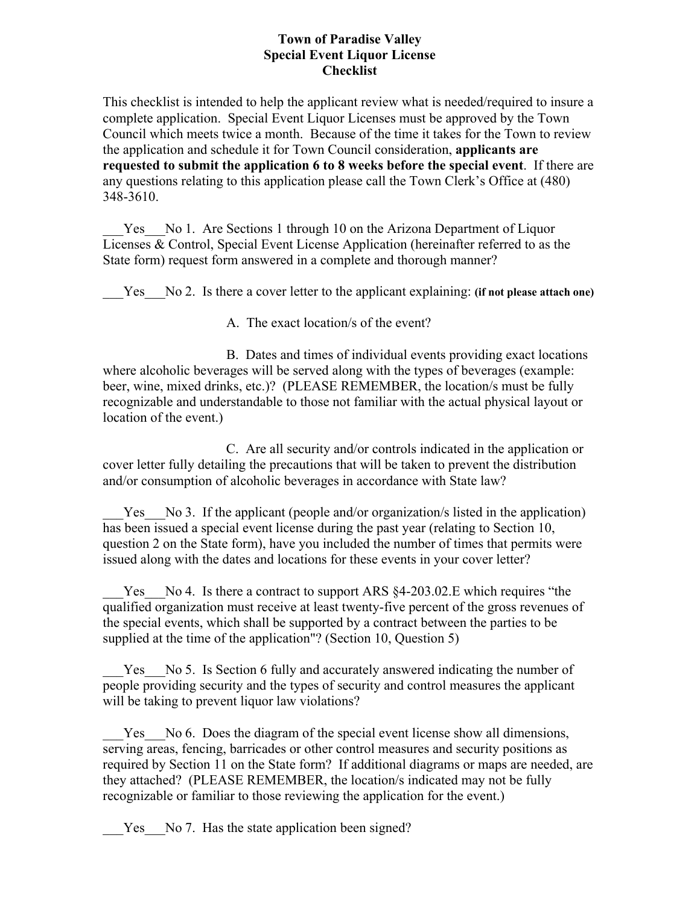## **Town of Paradise Valley Special Event Liquor License Checklist**

This checklist is intended to help the applicant review what is needed/required to insure a complete application. Special Event Liquor Licenses must be approved by the Town Council which meets twice a month. Because of the time it takes for the Town to review the application and schedule it for Town Council consideration, **applicants are requested to submit the application 6 to 8 weeks before the special event**. If there are any questions relating to this application please call the Town Clerk's Office at (480) 348-3610.

Yes No 1. Are Sections 1 through 10 on the Arizona Department of Liquor Licenses & Control, Special Event License Application (hereinafter referred to as the State form) request form answered in a complete and thorough manner?

\_\_\_Yes\_\_\_No 2. Is there a cover letter to the applicant explaining: **(if not please attach one)** 

A. The exact location/s of the event?

 B. Dates and times of individual events providing exact locations where alcoholic beverages will be served along with the types of beverages (example: beer, wine, mixed drinks, etc.)? (PLEASE REMEMBER, the location/s must be fully recognizable and understandable to those not familiar with the actual physical layout or location of the event.)

 C. Are all security and/or controls indicated in the application or cover letter fully detailing the precautions that will be taken to prevent the distribution and/or consumption of alcoholic beverages in accordance with State law?

Yes No 3. If the applicant (people and/or organization/s listed in the application) has been issued a special event license during the past year (relating to Section 10, question 2 on the State form), have you included the number of times that permits were issued along with the dates and locations for these events in your cover letter?

Yes No 4. Is there a contract to support ARS §4-203.02.E which requires "the qualified organization must receive at least twenty-five percent of the gross revenues of the special events, which shall be supported by a contract between the parties to be supplied at the time of the application"? (Section 10, Question 5)

Yes No 5. Is Section 6 fully and accurately answered indicating the number of people providing security and the types of security and control measures the applicant will be taking to prevent liquor law violations?

Yes No 6. Does the diagram of the special event license show all dimensions, serving areas, fencing, barricades or other control measures and security positions as required by Section 11 on the State form? If additional diagrams or maps are needed, are they attached? (PLEASE REMEMBER, the location/s indicated may not be fully recognizable or familiar to those reviewing the application for the event.)

Yes No 7. Has the state application been signed?